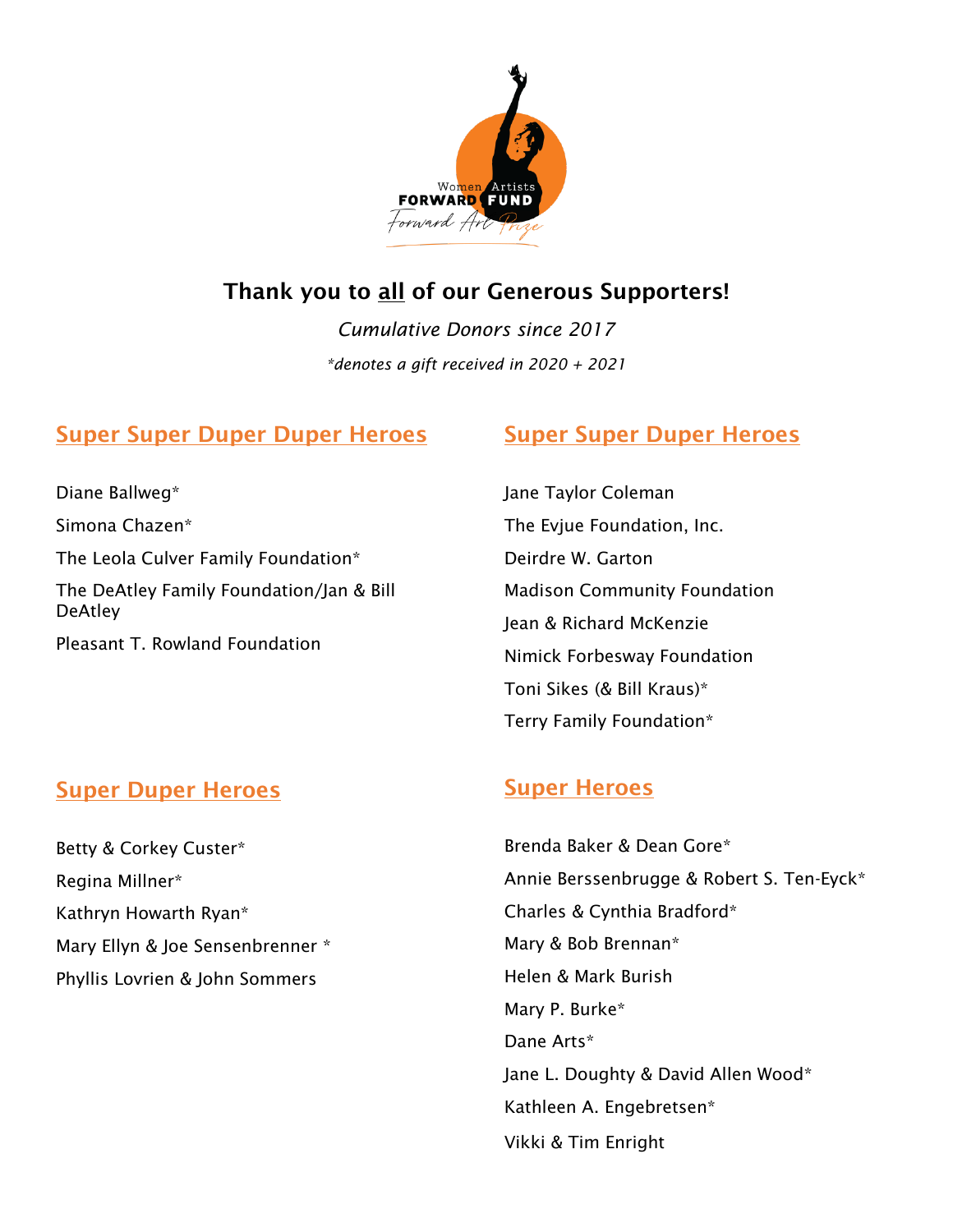

## Thank you to all of our Generous Supporters!

*Cumulative Donors since 2017 \*denotes a gift received in 2020 + 2021*

## Super Super Duper Duper Heroes

### Diane Ballweg\* Simona Chazen\* The Leola Culver Family Foundation\* The DeAtley Family Foundation/Jan & Bill **DeAtley** Pleasant T. Rowland Foundation

#### Super Duper Heroes

Betty & Corkey Custer\* Regina Millner\* Kathryn Howarth Ryan\* Mary Ellyn & Joe Sensenbrenner \* Phyllis Lovrien & John Sommers

## Super Super Duper Heroes

Jane Taylor Coleman The Evjue Foundation, Inc. Deirdre W. Garton Madison Community Foundation Jean & Richard McKenzie Nimick Forbesway Foundation Toni Sikes (& Bill Kraus)\* Terry Family Foundation\*

### Super Heroes

Vikki & Tim Enright Brenda Baker & Dean Gore\* Annie Berssenbrugge & Robert S. Ten-Eyck\* Charles & Cynthia Bradford\* Mary & Bob Brennan\* Helen & Mark Burish Mary P. Burke\* Dane Arts\* Jane L. Doughty & David Allen Wood\* Kathleen A. Engebretsen\*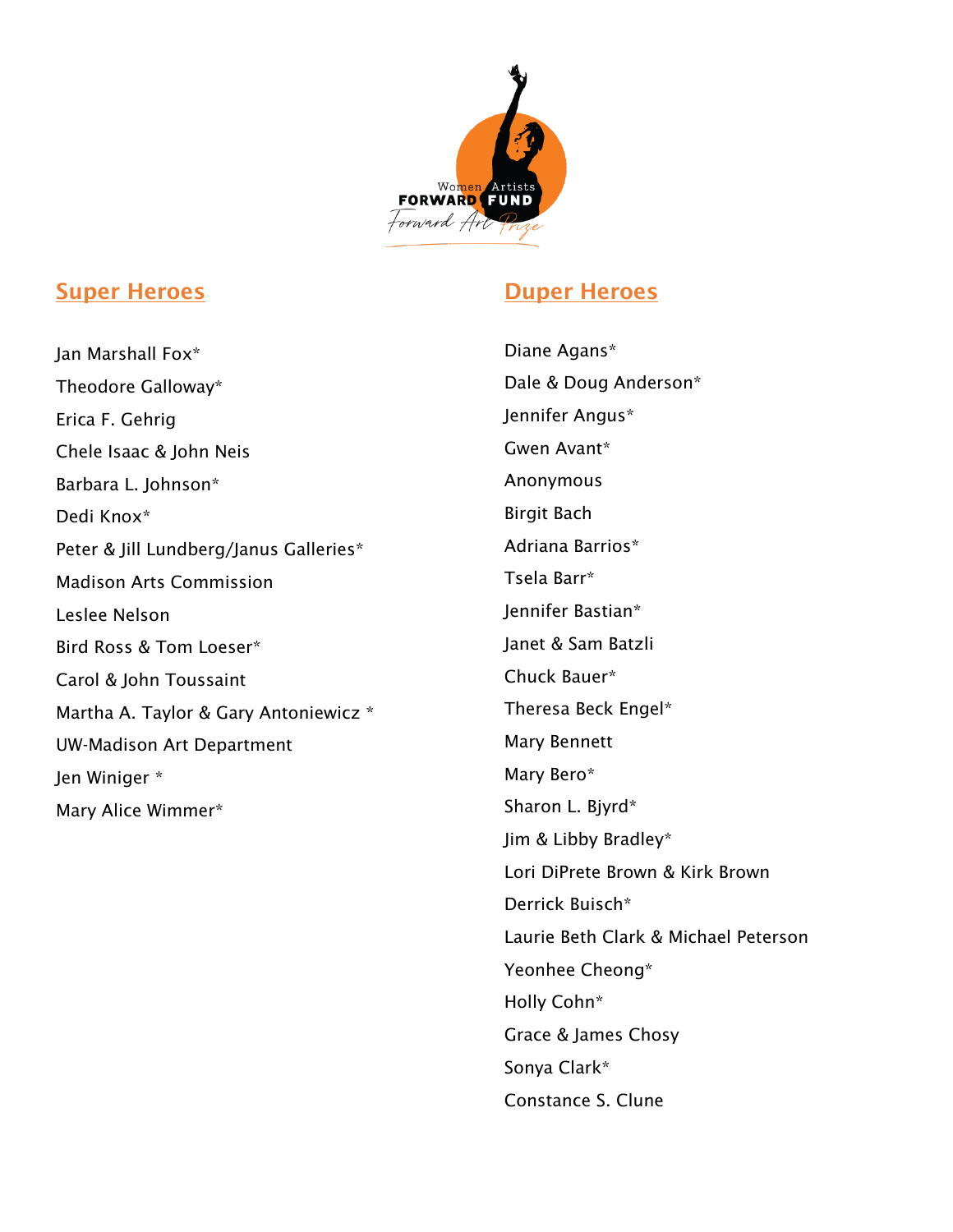

#### Super Heroes

Jan Marshall Fox\* Theodore Galloway\* Erica F. Gehrig Chele Isaac & John Neis Barbara L. Johnson\* Dedi Knox\* Peter & Jill Lundberg/Janus Galleries\* Madison Arts Commission Leslee Nelson Bird Ross & Tom Loeser\* Carol & John Toussaint Martha A. Taylor & Gary Antoniewicz \* UW-Madison Art Department Jen Winiger \* Mary Alice Wimmer\*

### Duper Heroes

Diane Agans\* Dale & Doug Anderson\* Jennifer Angus\* Gwen Avant\* Anonymous Birgit Bach Adriana Barrios\* Tsela Barr\* Jennifer Bastian\* Janet & Sam Batzli Chuck Bauer\* Theresa Beck Engel\* Mary Bennett Mary Bero\* Sharon L. Bjyrd\* Jim & Libby Bradley\* Lori DiPrete Brown & Kirk Brown Derrick Buisch\* Laurie Beth Clark & Michael Peterson Yeonhee Cheong\* Holly Cohn\* Grace & James Chosy Sonya Clark\* Constance S. Clune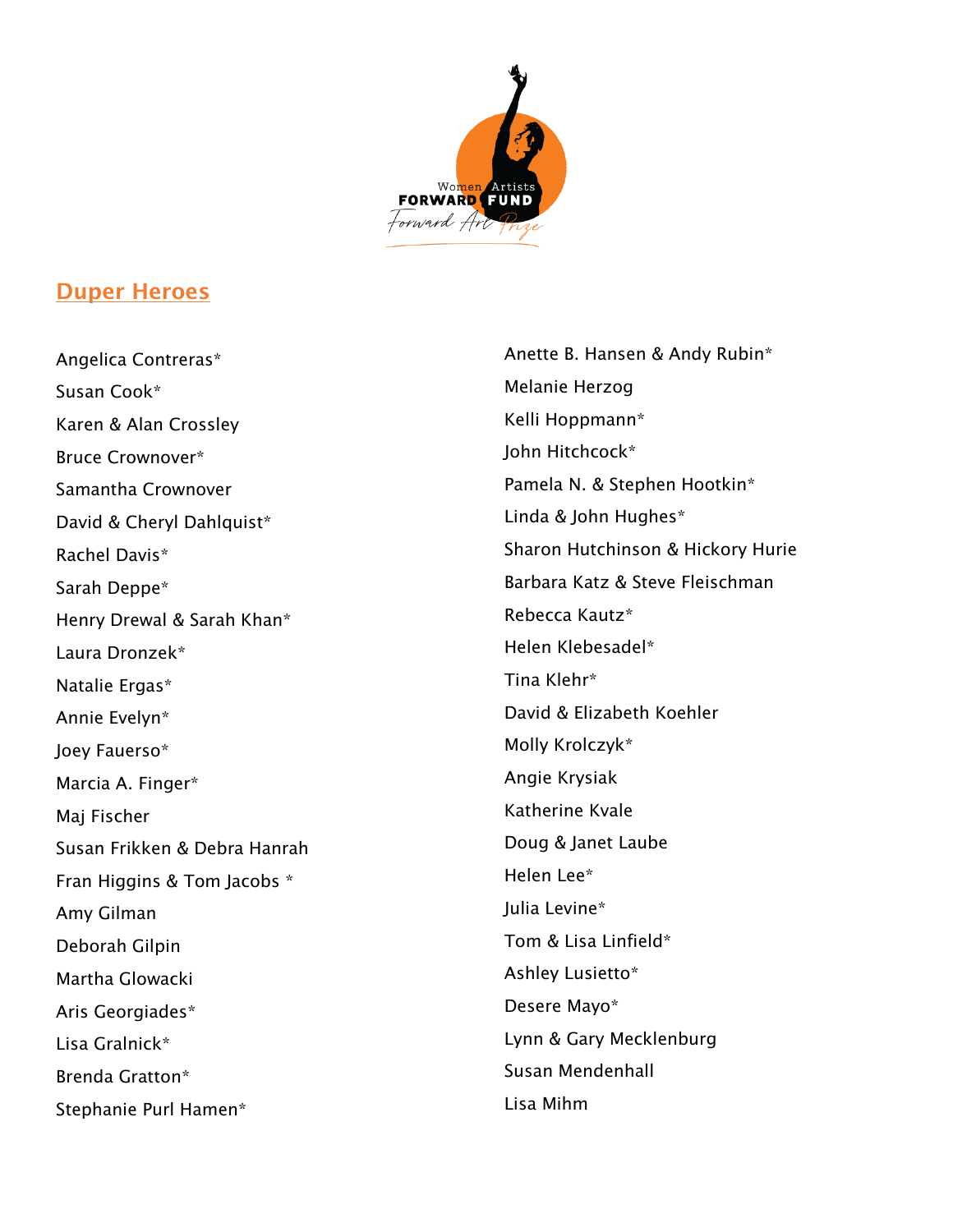

#### Duper Heroes

Angelica Contreras\* Susan Cook\* Karen & Alan Crossley Bruce Crownover\* Samantha Crownover David & Cheryl Dahlquist\* Rachel Davis\* Sarah Deppe\* Henry Drewal & Sarah Khan\* Laura Dronzek\* Natalie Ergas\* Annie Evelyn\* Joey Fauerso\* Marcia A. Finger\* Maj Fischer Susan Frikken & Debra Hanrah Fran Higgins & Tom Jacobs \* Amy Gilman Deborah Gilpin Martha Glowacki Aris Georgiades\* Lisa Gralnick\* Brenda Gratton\* Stephanie Purl Hamen\*

Anette B. Hansen & Andy Rubin\* Melanie Herzog Kelli Hoppmann\* John Hitchcock\* Pamela N. & Stephen Hootkin\* Linda & John Hughes\* Sharon Hutchinson & Hickory Hurie Barbara Katz & Steve Fleischman Rebecca Kautz\* Helen Klebesadel\* Tina Klehr\* David & Elizabeth Koehler Molly Krolczyk\* Angie Krysiak Katherine Kvale Doug & Janet Laube Helen Lee\* Julia Levine\* Tom & Lisa Linfield\* Ashley Lusietto\* Desere Mayo\* Lynn & Gary Mecklenburg Susan Mendenhall Lisa Mihm